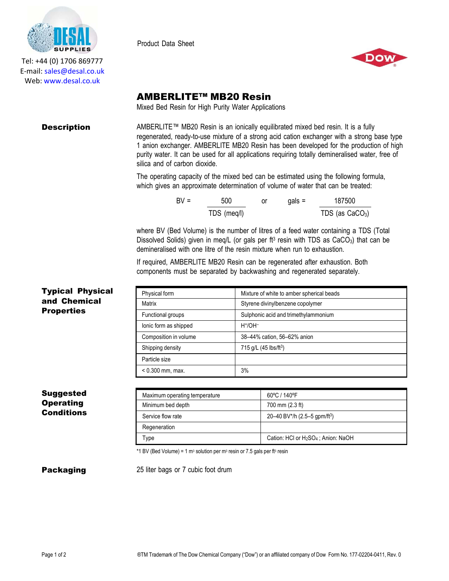

Tel: +44 (0) 1706 869777 E‐mail: sales@desal.co.uk Web: www.desal.co.uk

Product Data Sheet



# AMBERLITE™ MB20 Resin

Mixed Bed Resin for High Purity Water Applications

**Description** AMBERLITE™ MB20 Resin is an ionically equilibrated mixed bed resin. It is a fully regenerated, ready-to-use mixture of a strong acid cation exchanger with a strong base type 1 anion exchanger. AMBERLITE MB20 Resin has been developed for the production of high purity water. It can be used for all applications requiring totally demineralised water, free of silica and of carbon dioxide.

> The operating capacity of the mixed bed can be estimated using the following formula, which gives an approximate determination of volume of water that can be treated:

| $RV =$ | 500         | or | $aals =$ | 187500            |
|--------|-------------|----|----------|-------------------|
|        | TDS (meq/l) |    |          | TDS (as $CaCO3$ ) |

where BV (Bed Volume) is the number of litres of a feed water containing a TDS (Total Dissolved Solids) given in meg/L (or gals per  $ft^3$  resin with TDS as CaCO<sub>3</sub>) that can be demineralised with one litre of the resin mixture when run to exhaustion.

If required, AMBERLITE MB20 Resin can be regenerated after exhaustion. Both components must be separated by backwashing and regenerated separately.

| Physical form         | Mixture of white to amber spherical beads |
|-----------------------|-------------------------------------------|
| Matrix                | Styrene divinylbenzene copolymer          |
| Functional groups     | Sulphonic acid and trimethylammonium      |
| lonic form as shipped | $H^{\ast}/OH^{-}$                         |
| Composition in volume | 38-44% cation, 56-62% anion               |
| Shipping density      | 715 g/L (45 lbs/ft <sup>3</sup> )         |
| Particle size         |                                           |
| $< 0.300$ mm, max.    | 3%                                        |

| Suggested  |
|------------|
| Operating  |
| Conditions |

Typical Physical and Chemical **Properties** 

| Maximum operating temperature | 60°C / 140°F                                                |
|-------------------------------|-------------------------------------------------------------|
| Minimum bed depth             | 700 mm (2.3 ft)                                             |
| Service flow rate             | 20–40 BV*/h (2.5–5 gpm/ft <sup>3</sup> )                    |
| Regeneration                  |                                                             |
| Type                          | Cation: HCl or H <sub>2</sub> SO <sub>4</sub> ; Anion: NaOH |

\*1 BV (Bed Volume) = 1  $m<sup>3</sup>$  solution per  $m<sup>3</sup>$  resin or 7.5 gals per ft<sup>3</sup> resin

**Packaging 25 liter bags or 7 cubic foot drum**